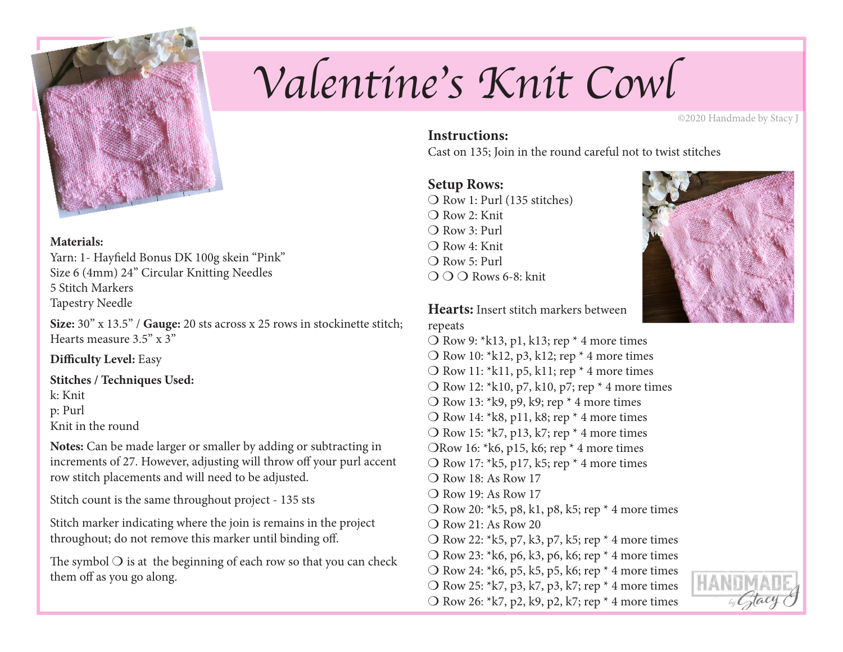

#### **Materials:**

Yarn: 1- Hayfield Bonus DK 100g skein "Pink" Size 6 (4mm) 24" Circular Knitting Needles 5 Stitch Markers Tapestry Needle

**Size:** 30" x 13.5" / **Gauge:** 20 sts across x 25 rows in stockinette stitch; Hearts measure 3.5" x 3"

**Difficulty Level:** Easy

**Stitches / Techniques Used:**

k: Knit p: Purl

Knit in the round

**Notes:** Can be made larger or smaller by adding or subtracting in increments of 27. However, adjusting will throw off your purl accent row stitch placements and will need to be adjusted.

Stitch count is the same throughout project - 135 sts

Stitch marker indicating where the join is remains in the project throughout; do not remove this marker until binding off.

The symbol  $\bigcirc$  is at the beginning of each row so that you can check them off as you go along.

# *Valentine's Knit Cowl*

©2020 Handmade by Stacy J

# **Instructions:**

Cast on 135; Join in the round careful not to twist stitches

# **Setup Rows:**

 $\bigcirc$  Row 1: Purl (135 stitches)  $\bigcap$  Row 2: Knit  $\bigcirc$  Row 3: Purl  $\bigcap$  Row 4: Knit  $\bigcirc$  Row 5: Purl  $\bigcirc$   $\bigcirc$   $\bigcirc$  Rows 6-8: knit



**Hearts:** Insert stitch markers between repeats

- $\overline{O}$  Row 9: \*k13, p1, k13; rep \* 4 more times  $\overline{O}$  Row 10: \*k12, p3, k12; rep \* 4 more times  $\overline{O}$  Row 11: \*k11, p5, k11; rep \* 4 more times  $\overline{O}$  Row 12: \*k10, p7, k10, p7; rep \* 4 more times  $\bigcirc$  Row 13: \*k9, p9, k9; rep \* 4 more times  $\overline{O}$  Row 14: \*k8, p11, k8; rep \* 4 more times  $\overline{O}$  Row 15: \*k7, p13, k7; rep \* 4 more times ORow 16:  $* k6$ , p15, k6; rep  $*$  4 more times  $\overline{O}$  Row 17: \*k5, p17, k5; rep \* 4 more times  $\bigcirc$  Row 18: As Row 17  $\bigcirc$  Row 19: As Row 17 O Row 20:  $*k5$ , p8, k1, p8, k5; rep  $*$  4 more times  $\bigcirc$  Row 21: As Row 20 O Row 22:  $*k5$ , p7, k3, p7, k5; rep  $*$  4 more times O Row 23:  $*k6$ , p6, k3, p6, k6; rep  $*$  4 more times O Row 24:  $* k6$ , p5, k5, p5, k6; rep  $*$  4 more times O Row 25:  $k7$ , p3, k7, p3, k7; rep  $*$  4 more times
	-
- O Row 26:  $k7$ , p2, k9, p2, k7; rep  $*$  4 more times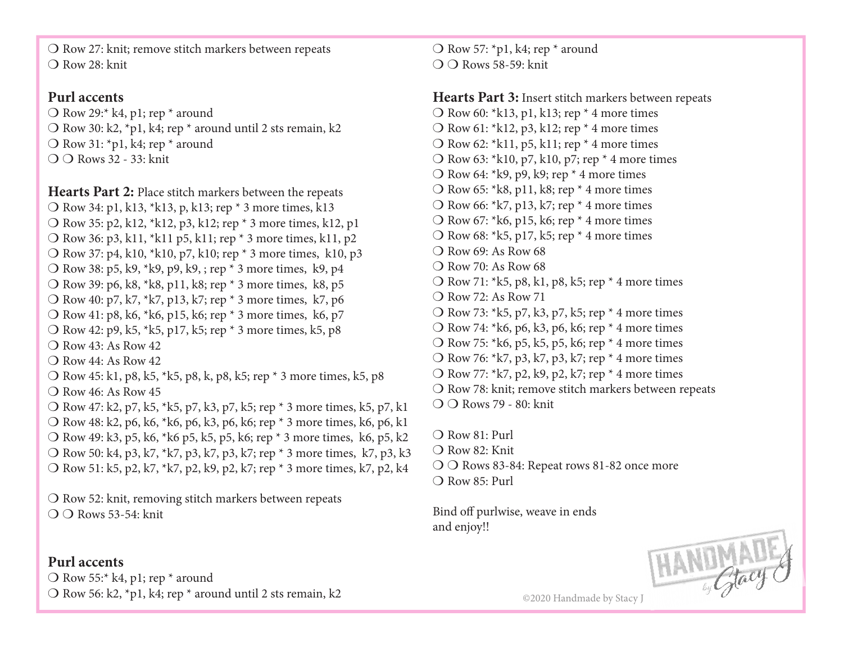$\overline{O}$  Row 27: knit; remove stitch markers between repeats  $\bigcirc$  Row 28: knit

## **Purl accents**

 $\bigcirc$  Row 29:\* k4, p1; rep \* around O Row 30: k2, \*p1, k4; rep \* around until 2 sts remain, k2  $\bigcirc$  Row 31: \*p1, k4; rep \* around  $\bigcirc$   $\bigcirc$  Rows 32 - 33: knit

**Hearts Part 2:** Place stitch markers between the repeats O Row 34: p1, k13, \*k13, p, k13; rep \* 3 more times, k13 O Row 35: p2, k12, \*k12, p3, k12; rep \* 3 more times, k12, p1 O Row 36: p3, k11, \*k11 p5, k11; rep \* 3 more times, k11, p2 O Row 37: p4, k10, \*k10, p7, k10; rep \* 3 more times, k10, p3 O Row 38: p5, k9,  $*k9$ , p9, k9, ; rep  $*$  3 more times, k9, p4 O Row 39: p6, k8, \*k8, p11, k8; rep \* 3 more times, k8, p5 O Row 40: p7, k7, \*k7, p13, k7; rep \* 3 more times, k7, p6 O Row 41: p8, k6, \*k6, p15, k6; rep \* 3 more times, k6, p7 O Row 42: p9, k5, \*k5, p17, k5; rep \* 3 more times, k5, p8  $\bigcap$  Row 43: As Row 42  $\bigcap$  Row 44: As Row 42. O Row 45: k1, p8, k5, \*k5, p8, k, p8, k5; rep \* 3 more times, k5, p8  $\bigcirc$  Row 46: As Row 45 O Row 47: k2, p7, k5, \*k5, p7, k3, p7, k5; rep \* 3 more times, k5, p7, k1 O Row 48: k2, p6, k6, \*k6, p6, k3, p6, k6; rep \* 3 more times, k6, p6, k1 O Row 49: k3, p5, k6, \*k6 p5, k5, p5, k6; rep \* 3 more times, k6, p5, k2 O Row 50: k4, p3, k7, \*k7, p3, k7, p3, k7; rep \* 3 more times, k7, p3, k3 O Row 51: k5, p2, k7, \*k7, p2, k9, p2, k7; rep \* 3 more times, k7, p2, k4

 $\overline{O}$  Row 52: knit, removing stitch markers between repeats  $\bigcap$   $\bigcap$  Rows 53-54: knit

## **Purl accents**

 $\overline{O}$  Row 55:\* k4, p1; rep \* around O Row 56: k2, \*p1, k4; rep \* around until 2 sts remain, k2  $\bigcirc$  Row 57: \*p1, k4; rep \* around  $\bigcirc$   $\bigcirc$  Rows 58-59: knit

**Hearts Part 3:** Insert stitch markers between repeats  $\overline{O}$  Row 60: \*k13, p1, k13; rep \* 4 more times O Row 61:  $k12$ , p3, k12; rep  $*$  4 more times O Row 62:  $*k11$ , p5, k11; rep  $*$  4 more times O Row 63:  $*k10$ , p7, k10, p7; rep  $*$  4 more times O Row 64:  $k$ 9, p9, k9; rep  $*$  4 more times  $\overline{O}$  Row 65: \*k8, p11, k8; rep \* 4 more times  $\overline{O}$  Row 66: \*k7, p13, k7; rep \* 4 more times O Row 67: \*k6, p15, k6; rep \* 4 more times  $\overline{O}$  Row 68: \*k5, p17, k5; rep \* 4 more times  $\bigcirc$  Row 69: As Row 68  $\bigcirc$  Row 70: As Row 68 O Row 71:  $k5$ , p8, k1, p8, k5; rep  $*$  4 more times  $\bigcap$  Row 72: As Row 71 O Row 73:  $*k5$ , p7, k3, p7, k5; rep  $*$  4 more times  $\bigcirc$  Row 74: \*k6, p6, k3, p6, k6; rep \* 4 more times O Row 75:  $* k6$ , p5, k5, p5, k6; rep  $*$  4 more times  $\overline{O}$  Row 76: \*k7, p3, k7, p3, k7; rep \* 4 more times O Row 77:  $k7$ , p2, k9, p2, k7; rep  $*$  4 more times  $\overline{O}$  Row 78: knit; remove stitch markers between repeats  $\bigcirc$   $\bigcirc$  Rows 79 - 80: knit

 $\bigcirc$  Row 81: Purl

- $\bigcirc$  Row 82: Knit
- $\bigcirc$   $\bigcirc$  Rows 83-84: Repeat rows 81-82 once more
- $\bigcirc$  Row 85: Purl

Bind off purlwise, weave in ends and enjoy!!